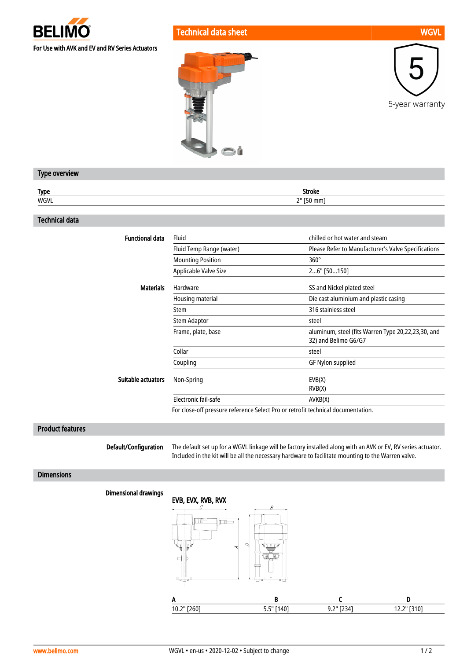

Technical data sheet WGVL New York WGVL New York WGVL New York WGVL New York WGVL







# Type overview

| <b>Type</b><br>. . | .<br>мис<br>.    |
|--------------------|------------------|
| WGVI               | יי<br>,,,,,<br>- |

### Technical data

| <b>Functional data</b> | Fluid                                                                            | chilled or hot water and steam                                             |
|------------------------|----------------------------------------------------------------------------------|----------------------------------------------------------------------------|
|                        | Fluid Temp Range (water)                                                         | Please Refer to Manufacturer's Valve Specifications                        |
|                        | <b>Mounting Position</b>                                                         | $360^\circ$                                                                |
|                        | Applicable Valve Size                                                            | 26" [50150]                                                                |
| <b>Materials</b>       | Hardware                                                                         | SS and Nickel plated steel                                                 |
|                        | Housing material                                                                 | Die cast aluminium and plastic casing                                      |
|                        | Stem                                                                             | 316 stainless steel                                                        |
|                        | Stem Adaptor                                                                     | steel                                                                      |
|                        | Frame, plate, base                                                               | aluminum, steel (fits Warren Type 20,22,23,30, and<br>32) and Belimo G6/G7 |
|                        | Collar                                                                           | steel                                                                      |
|                        | Coupling                                                                         | GF Nylon supplied                                                          |
| Suitable actuators     | Non-Spring                                                                       | EVB(X)                                                                     |
|                        |                                                                                  | RVB(X)                                                                     |
|                        | Electronic fail-safe                                                             | AVKB(X)                                                                    |
|                        | For close-off pressure reference Select Pro or retrofit technical documentation. |                                                                            |

### Product features

Default/Configuration

The default set up for a WGVL linkage will be factory installed along with an AVK or EV, RV series actuator. Included in the kit will be all the necessary hardware to facilitate mounting to the Warren valve.

### Dimensions

## Dimensional drawings

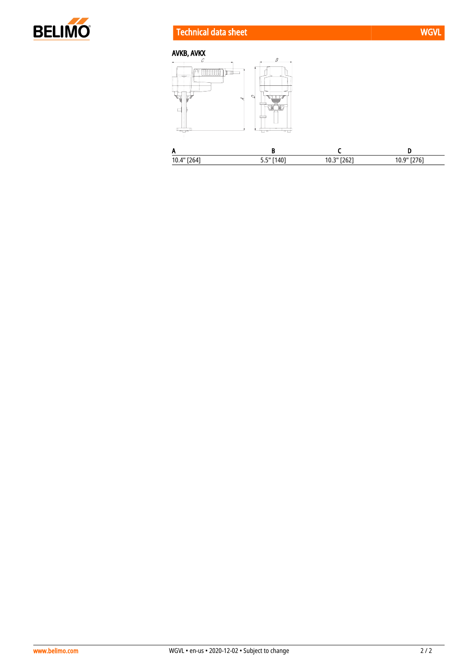

# Technical data sheet WGVL New York WGVL New York WGVL



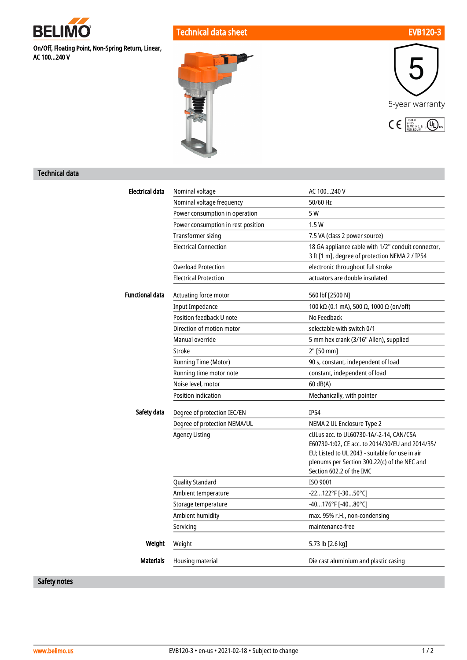

On/Off, Floating Point, Non-Spring Return, Linear, AC 100...240 V

Technical data sheet EVB120-3





# Technical data

| <b>Electrical data</b>         | Nominal voltage                    | AC 100240 V                                                                                     |
|--------------------------------|------------------------------------|-------------------------------------------------------------------------------------------------|
|                                | Nominal voltage frequency          | 50/60 Hz                                                                                        |
| Power consumption in operation |                                    | 5 W                                                                                             |
|                                | Power consumption in rest position | 1.5W                                                                                            |
|                                | <b>Transformer sizing</b>          | 7.5 VA (class 2 power source)                                                                   |
|                                | <b>Electrical Connection</b>       | 18 GA appliance cable with 1/2" conduit connector,                                              |
|                                |                                    | 3 ft [1 m], degree of protection NEMA 2 / IP54                                                  |
|                                | <b>Overload Protection</b>         | electronic throughout full stroke                                                               |
|                                | <b>Electrical Protection</b>       | actuators are double insulated                                                                  |
| <b>Functional data</b>         | Actuating force motor              | 560 lbf [2500 N]                                                                                |
|                                | <b>Input Impedance</b>             | 100 kΩ (0.1 mA), 500 Ω, 1000 Ω (on/off)                                                         |
|                                | Position feedback U note           | No Feedback                                                                                     |
|                                | Direction of motion motor          | selectable with switch 0/1                                                                      |
|                                | Manual override                    | 5 mm hex crank (3/16" Allen), supplied                                                          |
|                                | <b>Stroke</b>                      | 2" [50 mm]                                                                                      |
|                                | <b>Running Time (Motor)</b>        | 90 s, constant, independent of load                                                             |
|                                | Running time motor note            | constant, independent of load                                                                   |
|                                | Noise level, motor                 | $60$ dB(A)                                                                                      |
|                                | <b>Position indication</b>         | Mechanically, with pointer                                                                      |
| Safety data                    | Degree of protection IEC/EN        | <b>IP54</b>                                                                                     |
|                                | Degree of protection NEMA/UL       | NEMA 2 UL Enclosure Type 2                                                                      |
|                                | <b>Agency Listing</b>              | cULus acc. to UL60730-1A/-2-14, CAN/CSA                                                         |
|                                |                                    | E60730-1:02, CE acc. to 2014/30/EU and 2014/35/                                                 |
|                                |                                    | EU; Listed to UL 2043 - suitable for use in air<br>plenums per Section 300.22(c) of the NEC and |
|                                |                                    | Section 602.2 of the IMC                                                                        |
|                                | <b>Quality Standard</b>            | ISO 9001                                                                                        |
|                                | Ambient temperature                | -22122°F [-3050°C]                                                                              |
|                                | Storage temperature                | -40176°F [-4080°C]                                                                              |
|                                | Ambient humidity                   | max. 95% r.H., non-condensing                                                                   |
|                                | Servicing                          | maintenance-free                                                                                |
| Weight                         | Weight                             | 5.73 lb [2.6 kg]                                                                                |
| <b>Materials</b>               | Housing material                   | Die cast aluminium and plastic casing                                                           |

Safety notes